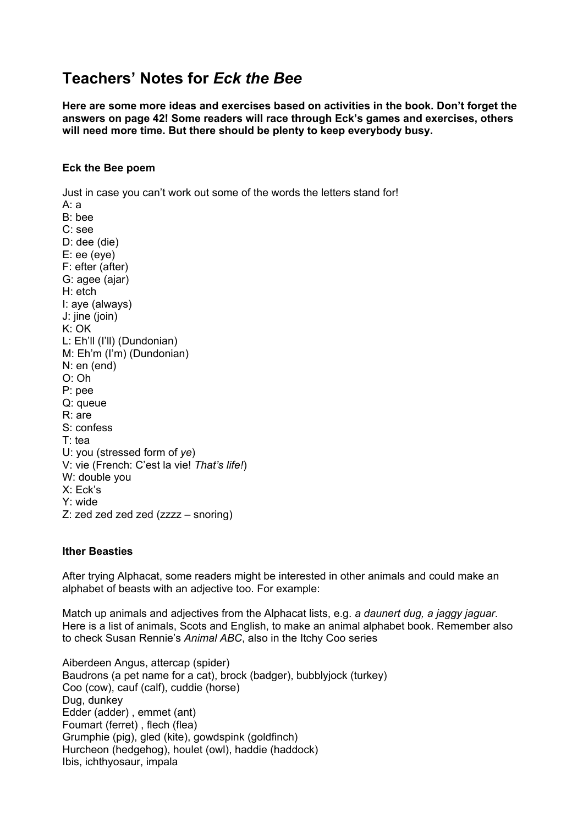# **Teachers' Notes for** *Eck the Bee*

**Here are some more ideas and exercises based on activities in the book. Don't forget the answers on page 42! Some readers will race through Eck's games and exercises, others will need more time. But there should be plenty to keep everybody busy.**

#### **Eck the Bee poem**

Just in case you can't work out some of the words the letters stand for! A: a B: bee C: see D: dee (die) E: ee (eye) F: efter (after) G: agee (ajar) H: etch I: aye (always) J: jine (join) K: OK L: Eh'll (I'll) (Dundonian) M: Eh'm (I'm) (Dundonian) N: en (end) O: Oh P: pee Q: queue R: are S: confess T: tea U: you (stressed form of *ye*) V: vie (French: C'est la vie! *That's life!*) W: double you X: Eck's Y: wide Z: zed zed zed zed (zzzz – snoring)

## **Ither Beasties**

After trying Alphacat, some readers might be interested in other animals and could make an alphabet of beasts with an adjective too. For example:

Match up animals and adjectives from the Alphacat lists, e.g. *a daunert dug, a jaggy jaguar*. Here is a list of animals, Scots and English, to make an animal alphabet book. Remember also to check Susan Rennie's *Animal ABC*, also in the Itchy Coo series

Aiberdeen Angus, attercap (spider) Baudrons (a pet name for a cat), brock (badger), bubblyjock (turkey) Coo (cow), cauf (calf), cuddie (horse) Dug, dunkey Edder (adder) , emmet (ant) Foumart (ferret) , flech (flea) Grumphie (pig), gled (kite), gowdspink (goldfinch) Hurcheon (hedgehog), houlet (owl), haddie (haddock) Ibis, ichthyosaur, impala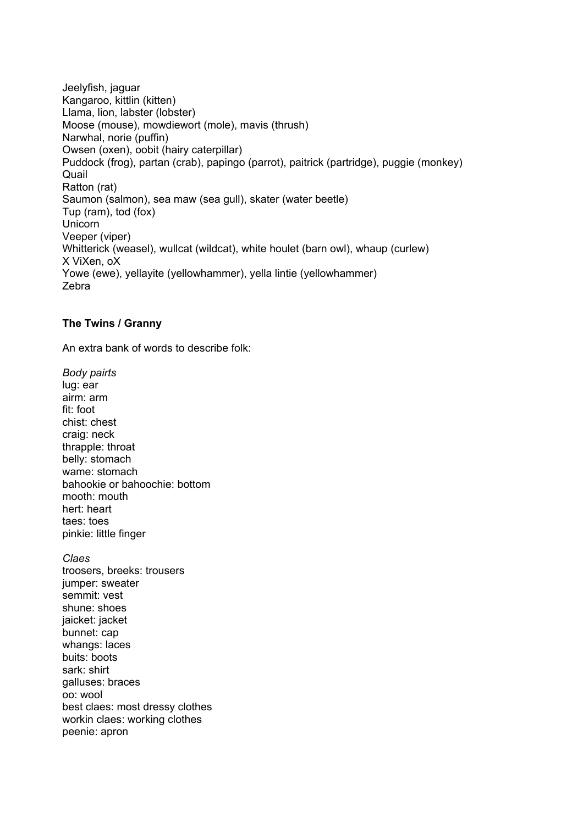Jeelyfish, jaguar Kangaroo, kittlin (kitten) Llama, lion, labster (lobster) Moose (mouse), mowdiewort (mole), mavis (thrush) Narwhal, norie (puffin) Owsen (oxen), oobit (hairy caterpillar) Puddock (frog), partan (crab), papingo (parrot), paitrick (partridge), puggie (monkey) Quail Ratton (rat) Saumon (salmon), sea maw (sea gull), skater (water beetle) Tup (ram), tod (fox) Unicorn Veeper (viper) Whitterick (weasel), wullcat (wildcat), white houlet (barn owl), whaup (curlew) X ViXen, oX Yowe (ewe), yellayite (yellowhammer), yella lintie (yellowhammer) Zebra

## **The Twins / Granny**

An extra bank of words to describe folk:

*Body pairts* lug: ear airm: arm fit: foot chist: chest craig: neck thrapple: throat belly: stomach wame: stomach bahookie or bahoochie: bottom mooth: mouth hert: heart taes: toes pinkie: little finger

*Claes* troosers, breeks: trousers jumper: sweater semmit: vest shune: shoes jaicket: jacket bunnet: cap whangs: laces buits: boots sark: shirt galluses: braces oo: wool best claes: most dressy clothes workin claes: working clothes peenie: apron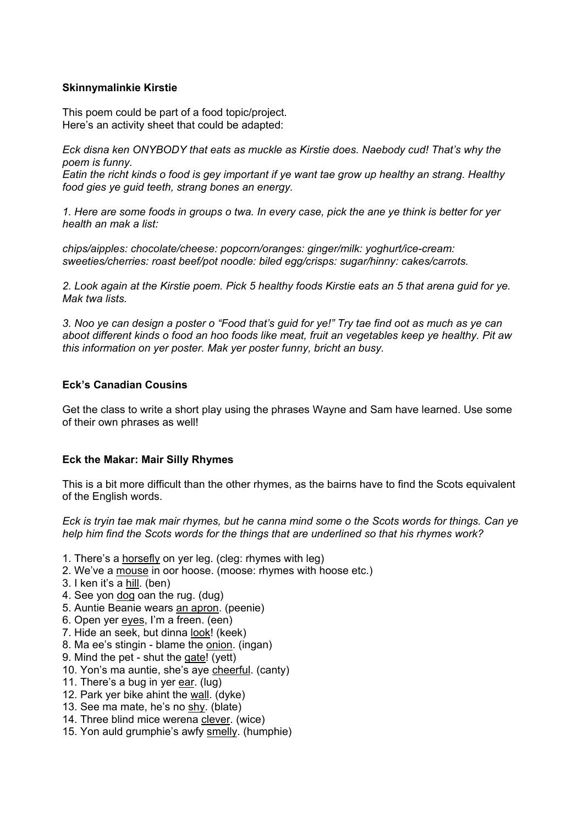## **Skinnymalinkie Kirstie**

This poem could be part of a food topic/project. Here's an activity sheet that could be adapted:

*Eck disna ken ONYBODY that eats as muckle as Kirstie does. Naebody cud! That's why the poem is funny.*

*Eatin the richt kinds o food is gey important if ye want tae grow up healthy an strang. Healthy food gies ye guid teeth, strang bones an energy.*

*1. Here are some foods in groups o twa. In every case, pick the ane ye think is better for yer health an mak a list:*

*chips/aipples: chocolate/cheese: popcorn/oranges: ginger/milk: yoghurt/ice-cream: sweeties/cherries: roast beef/pot noodle: biled egg/crisps: sugar/hinny: cakes/carrots.*

*2. Look again at the Kirstie poem. Pick 5 healthy foods Kirstie eats an 5 that arena guid for ye. Mak twa lists.*

*3. Noo ye can design a poster o "Food that's guid for ye!" Try tae find oot as much as ye can aboot different kinds o food an hoo foods like meat, fruit an vegetables keep ye healthy. Pit aw this information on yer poster. Mak yer poster funny, bricht an busy.*

## **Eck's Canadian Cousins**

Get the class to write a short play using the phrases Wayne and Sam have learned. Use some of their own phrases as well!

## **Eck the Makar: Mair Silly Rhymes**

This is a bit more difficult than the other rhymes, as the bairns have to find the Scots equivalent of the English words.

*Eck is tryin tae mak mair rhymes, but he canna mind some o the Scots words for things. Can ye help him find the Scots words for the things that are underlined so that his rhymes work?*

- 1. There's a horsefly on yer leg. (cleg: rhymes with leg)
- 2. We've a mouse in oor hoose. (moose: rhymes with hoose etc.)
- 3. I ken it's a hill. (ben)
- 4. See yon dog oan the rug. (dug)
- 5. Auntie Beanie wears an apron. (peenie)
- 6. Open yer eyes, I'm a freen. (een)
- 7. Hide an seek, but dinna look! (keek)
- 8. Ma ee's stingin blame the onion. (ingan)
- 9. Mind the pet shut the gate! (yett)
- 10. Yon's ma auntie, she's aye cheerful. (canty)
- 11. There's a bug in yer ear. (lug)
- 12. Park yer bike ahint the wall. (dyke)
- 13. See ma mate, he's no shy. (blate)
- 14. Three blind mice werena clever. (wice)
- 15. Yon auld grumphie's awfy smelly. (humphie)